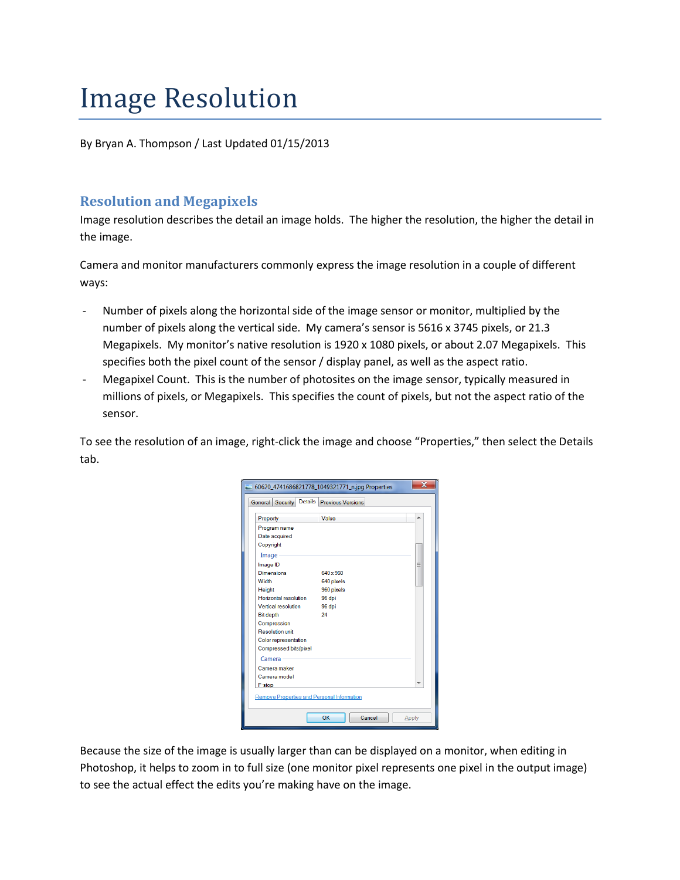# Image Resolution

By Bryan A. Thompson / Last Updated 01/15/2013

# **Resolution and Megapixels**

Image resolution describes the detail an image holds. The higher the resolution, the higher the detail in the image.

Camera and monitor manufacturers commonly express the image resolution in a couple of different ways:

- Number of pixels along the horizontal side of the image sensor or monitor, multiplied by the number of pixels along the vertical side. My camera's sensor is 5616 x 3745 pixels, or 21.3 Megapixels. My monitor's native resolution is 1920 x 1080 pixels, or about 2.07 Megapixels. This specifies both the pixel count of the sensor / display panel, as well as the aspect ratio.
- Megapixel Count. This is the number of photosites on the image sensor, typically measured in millions of pixels, or Megapixels. This specifies the count of pixels, but not the aspect ratio of the sensor.

To see the resolution of an image, right-click the image and choose "Properties," then select the Details tab.



Because the size of the image is usually larger than can be displayed on a monitor, when editing in Photoshop, it helps to zoom in to full size (one monitor pixel represents one pixel in the output image) to see the actual effect the edits you're making have on the image.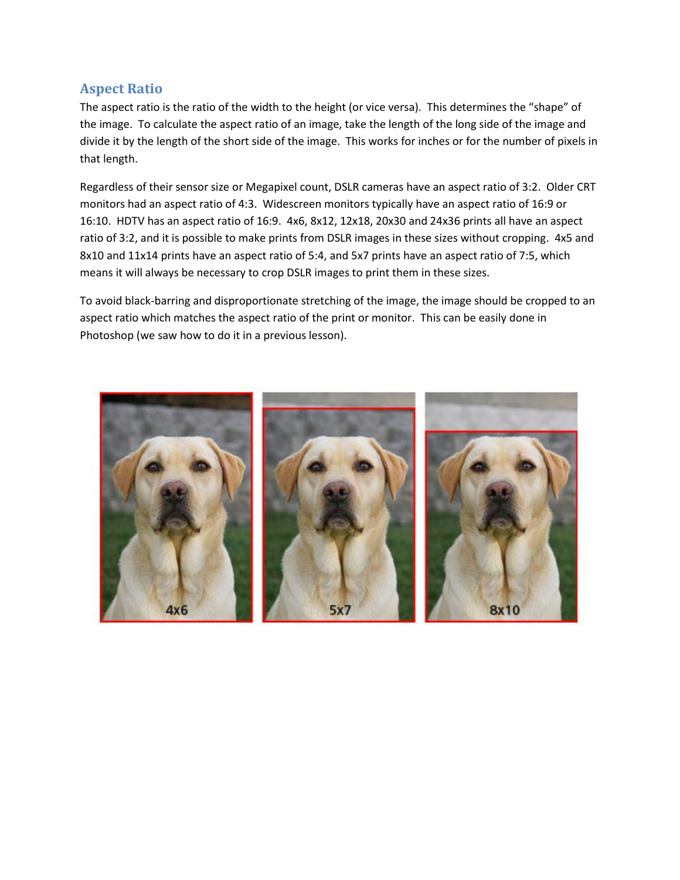# **Aspect Ratio**

The aspect ratio is the ratio of the width to the height (or vice versa). This determines the "shape" of the image. To calculate the aspect ratio of an image, take the length of the long side of the image and divide it by the length of the short side of the image. This works for inches or for the number of pixels in that length.

Regardless of their sensor size or Megapixel count, DSLR cameras have an aspect ratio of 3:2. Older CRT monitors had an aspect ratio of 4:3. Widescreen monitors typically have an aspect ratio of 16:9 or 16:10. HDTV has an aspect ratio of 16:9. 4x6, 8x12, 12x18, 20x30 and 24x36 prints all have an aspect ratio of 3:2, and it is possible to make prints from DSLR images in these sizes without cropping. 4x5 and 8x10 and 11x14 prints have an aspect ratio of 5:4, and 5x7 prints have an aspect ratio of 7:5, which means it will always be necessary to crop DSLR images to print them in these sizes.

To avoid black-barring and disproportionate stretching of the image, the image should be cropped to an aspect ratio which matches the aspect ratio of the print or monitor. This can be easily done in Photoshop (we saw how to do it in a previous lesson).

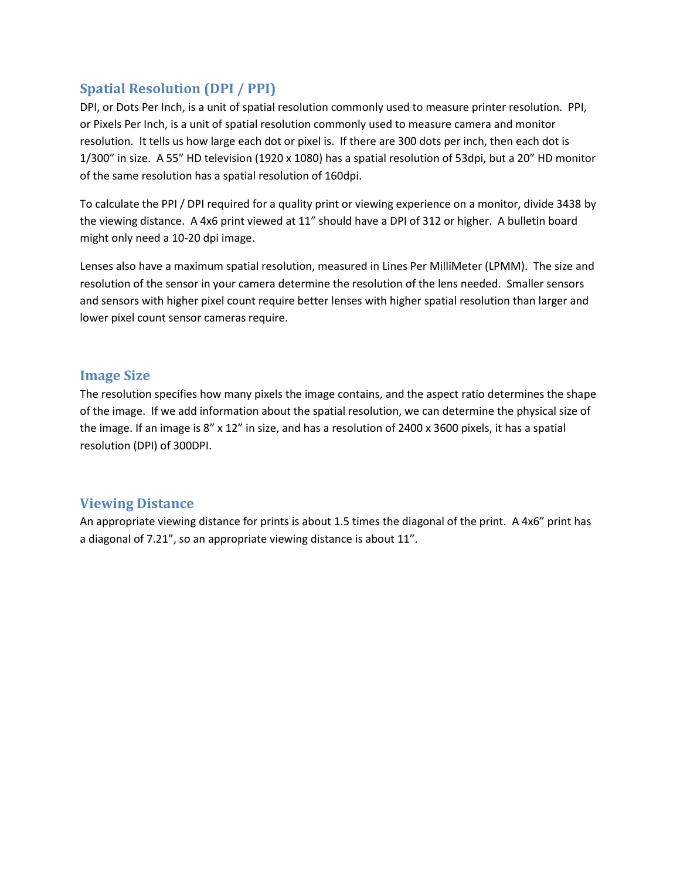# **Spatial Resolution (DPI / PPI)**

DPI, or Dots Per Inch, is a unit of spatial resolution commonly used to measure printer resolution. PPI, or Pixels Per Inch, is a unit of spatial resolution commonly used to measure camera and monitor resolution. It tells us how large each dot or pixel is. If there are 300 dots per inch, then each dot is 1/300" in size. A 55" HD television (1920 x 1080) has a spatial resolution of 53dpi, but a 20" HD monitor of the same resolution has a spatial resolution of 160dpi.

To calculate the PPI / DPI required for a quality print or viewing experience on a monitor, divide 3438 by the viewing distance. A 4x6 print viewed at 11" should have a DPI of 312 or higher. A bulletin board might only need a 10-20 dpi image.

Lenses also have a maximum spatial resolution, measured in Lines Per MilliMeter (LPMM). The size and resolution of the sensor in your camera determine the resolution of the lens needed. Smaller sensors and sensors with higher pixel count require better lenses with higher spatial resolution than larger and lower pixel count sensor cameras require.

## **Image Size**

The resolution specifies how many pixels the image contains, and the aspect ratio determines the shape of the image. If we add information about the spatial resolution, we can determine the physical size of the image. If an image is 8" x 12" in size, and has a resolution of 2400 x 3600 pixels, it has a spatial resolution (DPI) of 300DPI.

## **Viewing Distance**

An appropriate viewing distance for prints is about 1.5 times the diagonal of the print. A 4x6" print has a diagonal of 7.21", so an appropriate viewing distance is about 11".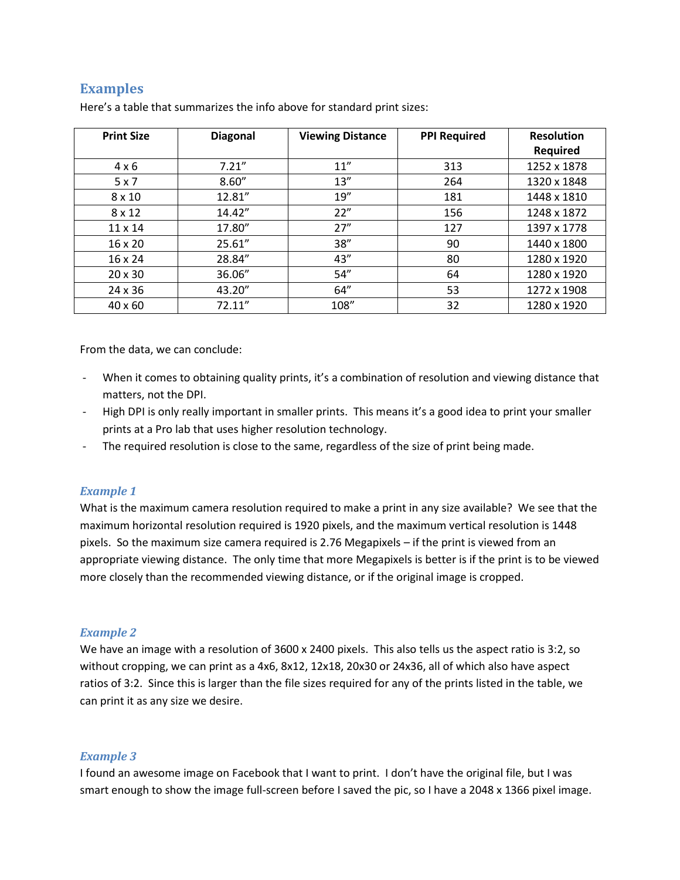# **Examples**

| <b>Print Size</b> | <b>Diagonal</b> | <b>Viewing Distance</b> | <b>PPI Required</b> | <b>Resolution</b> |
|-------------------|-----------------|-------------------------|---------------------|-------------------|
|                   |                 |                         |                     | <b>Required</b>   |
| $4 \times 6$      | 7.21''          | 11''                    | 313                 | 1252 x 1878       |
| 5x7               | 8.60''          | 13''                    | 264                 | 1320 x 1848       |
| $8 \times 10$     | 12.81"          | 19''                    | 181                 | 1448 x 1810       |
| $8 \times 12$     | 14.42"          | 22"                     | 156                 | 1248 x 1872       |
| $11 \times 14$    | 17.80"          | 27''                    | 127                 | 1397 x 1778       |
| 16 x 20           | 25.61"          | 38''                    | 90                  | 1440 x 1800       |
| 16 x 24           | 28.84"          | 43''                    | 80                  | 1280 x 1920       |
| $20 \times 30$    | 36.06"          | 54''                    | 64                  | 1280 x 1920       |
| 24 x 36           | 43.20"          | 64"                     | 53                  | 1272 x 1908       |
| $40 \times 60$    | 72.11"          | 108"                    | 32                  | 1280 x 1920       |

Here's a table that summarizes the info above for standard print sizes:

From the data, we can conclude:

- When it comes to obtaining quality prints, it's a combination of resolution and viewing distance that matters, not the DPI.
- High DPI is only really important in smaller prints. This means it's a good idea to print your smaller prints at a Pro lab that uses higher resolution technology.
- The required resolution is close to the same, regardless of the size of print being made.

### *Example 1*

What is the maximum camera resolution required to make a print in any size available? We see that the maximum horizontal resolution required is 1920 pixels, and the maximum vertical resolution is 1448 pixels. So the maximum size camera required is 2.76 Megapixels – if the print is viewed from an appropriate viewing distance. The only time that more Megapixels is better is if the print is to be viewed more closely than the recommended viewing distance, or if the original image is cropped.

### *Example 2*

We have an image with a resolution of 3600 x 2400 pixels. This also tells us the aspect ratio is 3:2, so without cropping, we can print as a 4x6, 8x12, 12x18, 20x30 or 24x36, all of which also have aspect ratios of 3:2. Since this is larger than the file sizes required for any of the prints listed in the table, we can print it as any size we desire.

### *Example 3*

I found an awesome image on Facebook that I want to print. I don't have the original file, but I was smart enough to show the image full-screen before I saved the pic, so I have a 2048 x 1366 pixel image.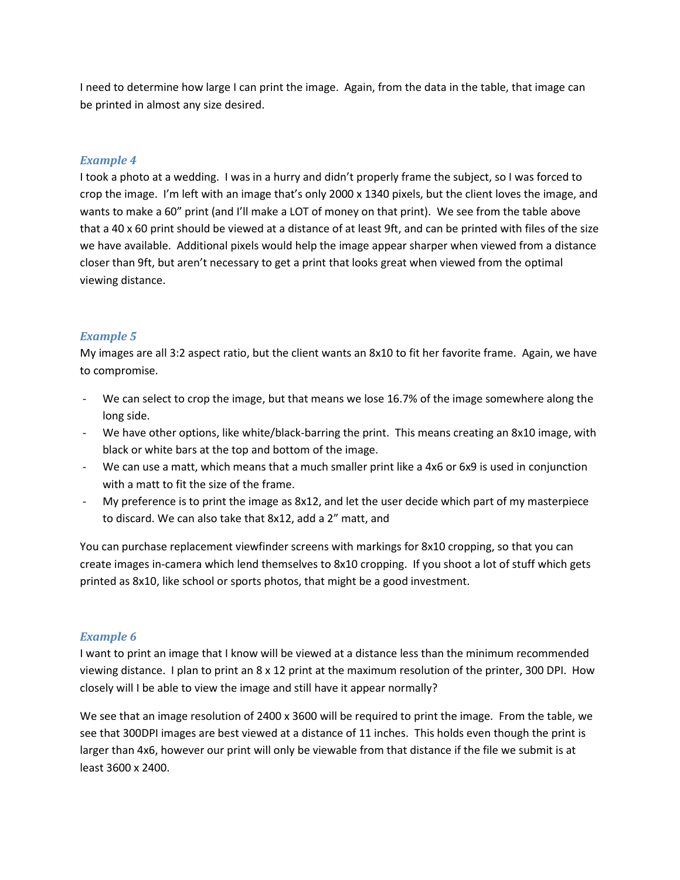I need to determine how large I can print the image. Again, from the data in the table, that image can be printed in almost any size desired.

### *Example 4*

I took a photo at a wedding. I was in a hurry and didn't properly frame the subject, so I was forced to crop the image. I'm left with an image that's only 2000 x 1340 pixels, but the client loves the image, and wants to make a 60" print (and I'll make a LOT of money on that print). We see from the table above that a 40 x 60 print should be viewed at a distance of at least 9ft, and can be printed with files of the size we have available. Additional pixels would help the image appear sharper when viewed from a distance closer than 9ft, but aren't necessary to get a print that looks great when viewed from the optimal viewing distance.

### *Example 5*

My images are all 3:2 aspect ratio, but the client wants an 8x10 to fit her favorite frame. Again, we have to compromise.

- We can select to crop the image, but that means we lose 16.7% of the image somewhere along the long side.
- We have other options, like white/black-barring the print. This means creating an 8x10 image, with black or white bars at the top and bottom of the image.
- We can use a matt, which means that a much smaller print like a 4x6 or 6x9 is used in conjunction with a matt to fit the size of the frame.
- My preference is to print the image as 8x12, and let the user decide which part of my masterpiece to discard. We can also take that 8x12, add a 2" matt, and

You can purchase replacement viewfinder screens with markings for 8x10 cropping, so that you can create images in-camera which lend themselves to 8x10 cropping. If you shoot a lot of stuff which gets printed as 8x10, like school or sports photos, that might be a good investment.

#### *Example 6*

I want to print an image that I know will be viewed at a distance less than the minimum recommended viewing distance. I plan to print an 8 x 12 print at the maximum resolution of the printer, 300 DPI. How closely will I be able to view the image and still have it appear normally?

We see that an image resolution of 2400 x 3600 will be required to print the image. From the table, we see that 300DPI images are best viewed at a distance of 11 inches. This holds even though the print is larger than 4x6, however our print will only be viewable from that distance if the file we submit is at least 3600 x 2400.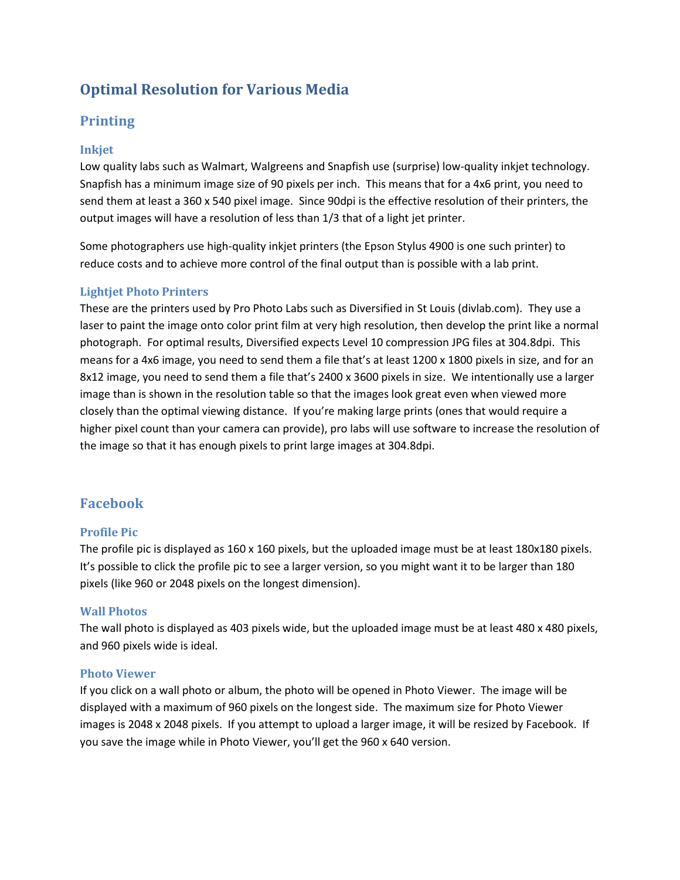# **Optimal Resolution for Various Media**

# **Printing**

## **Inkjet**

Low quality labs such as Walmart, Walgreens and Snapfish use (surprise) low-quality inkjet technology. Snapfish has a minimum image size of 90 pixels per inch. This means that for a 4x6 print, you need to send them at least a 360 x 540 pixel image. Since 90dpi is the effective resolution of their printers, the output images will have a resolution of less than 1/3 that of a light jet printer.

Some photographers use high-quality inkjet printers (the Epson Stylus 4900 is one such printer) to reduce costs and to achieve more control of the final output than is possible with a lab print.

### **Lightjet Photo Printers**

These are the printers used by Pro Photo Labs such as Diversified in St Louis (divlab.com). They use a laser to paint the image onto color print film at very high resolution, then develop the print like a normal photograph. For optimal results, Diversified expects Level 10 compression JPG files at 304.8dpi. This means for a 4x6 image, you need to send them a file that's at least 1200 x 1800 pixels in size, and for an 8x12 image, you need to send them a file that's 2400 x 3600 pixels in size. We intentionally use a larger image than is shown in the resolution table so that the images look great even when viewed more closely than the optimal viewing distance. If you're making large prints (ones that would require a higher pixel count than your camera can provide), pro labs will use software to increase the resolution of the image so that it has enough pixels to print large images at 304.8dpi.

# **Facebook**

### **Profile Pic**

The profile pic is displayed as 160 x 160 pixels, but the uploaded image must be at least 180x180 pixels. It's possible to click the profile pic to see a larger version, so you might want it to be larger than 180 pixels (like 960 or 2048 pixels on the longest dimension).

### **Wall Photos**

The wall photo is displayed as 403 pixels wide, but the uploaded image must be at least 480 x 480 pixels, and 960 pixels wide is ideal.

### **Photo Viewer**

If you click on a wall photo or album, the photo will be opened in Photo Viewer. The image will be displayed with a maximum of 960 pixels on the longest side. The maximum size for Photo Viewer images is 2048 x 2048 pixels. If you attempt to upload a larger image, it will be resized by Facebook. If you save the image while in Photo Viewer, you'll get the 960 x 640 version.